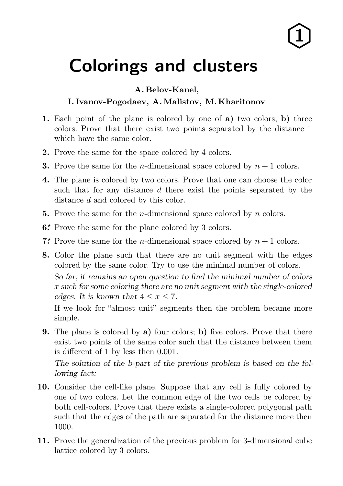## $\hat{1}$

## Colorings and lusters

A. Belov-Kanel,

## I. Ivanov-Pogodaev, A.Malistov, M. Kharitonov

- 1. Each point of the plane is colored by one of a) two colors; b) three colors. Prove that there exist two points separated by the distance 1 which have the same color.
- 2. Prove the same for the space colored by 4 colors.
- **3.** Prove the same for the *n*-dimensional space colored by  $n + 1$  colors.
- 4. The plane is colored by two colors. Prove that one can choose the color such that for any distance d there exist the points separated by the distance d and colored by this color.
- **5.** Prove the same for the *n*-dimensional space colored by *n* colors.
- 6.\* Prove the same for the plane colored by 3 colors.
- **7.\*** Prove the same for the *n*-dimensional space colored by  $n + 1$  colors.
- 8. Color the plane such that there are no unit segment with the edges colored by the same color. Try to use the minimal number of colors. So far, it remains an open question to find the minimal number of colors x such for some coloring there are no unit segment with the single-colored edges. It is known that  $4 \leq x \leq 7$ .

If we look for "almost unit" segments then the problem became more simple.

9. The plane is colored by a) four colors; b) five colors. Prove that there exist two points of the same color such that the distance between them is different of 1 by less then 0.001.

The solution of the b-part of the previous problem is based on the following fact:

- 10. Consider the cell-like plane. Suppose that any cell is fully colored by one of two colors. Let the common edge of the two cells be colored by both cell-colors. Prove that there exists a single-colored polygonal path such that the edges of the path are separated for the distance more then 1000.
- 11. Prove the generalization of the previous problem for 3-dimensional cube lattice colored by 3 colors.